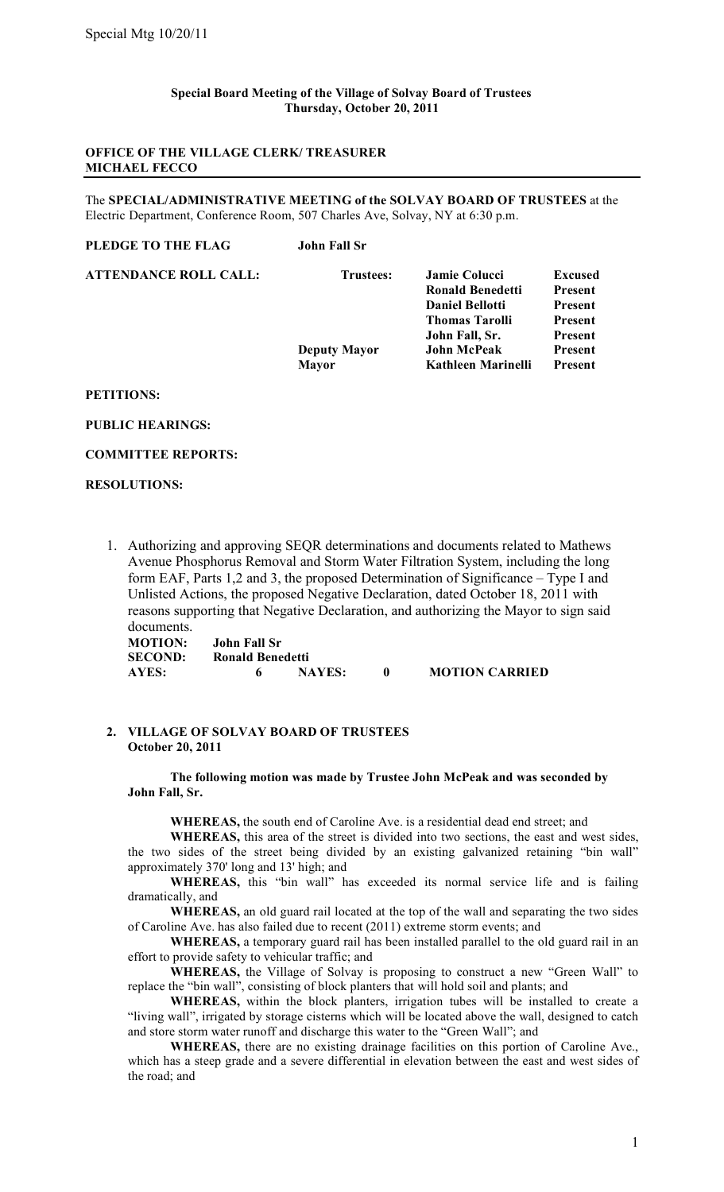### **Special Board Meeting of the Village of Solvay Board of Trustees Thursday, October 20, 2011**

# **OFFICE OF THE VILLAGE CLERK/ TREASURER MICHAEL FECCO**

The **SPECIAL/ADMINISTRATIVE MEETING of the SOLVAY BOARD OF TRUSTEES** at the Electric Department, Conference Room, 507 Charles Ave, Solvay, NY at 6:30 p.m.

| John Fall Sr        |                         |                |
|---------------------|-------------------------|----------------|
| <b>Trustees:</b>    | Jamie Colucci           | <b>Excused</b> |
|                     | <b>Ronald Benedetti</b> | <b>Present</b> |
|                     | <b>Daniel Bellotti</b>  | <b>Present</b> |
|                     | <b>Thomas Tarolli</b>   | <b>Present</b> |
|                     | John Fall, Sr.          | Present        |
| <b>Deputy Mayor</b> | John McPeak             | <b>Present</b> |
| <b>Mayor</b>        | Kathleen Marinelli      | <b>Present</b> |
|                     |                         |                |

## **PETITIONS:**

### **PUBLIC HEARINGS:**

#### **COMMITTEE REPORTS:**

### **RESOLUTIONS:**

1. Authorizing and approving SEQR determinations and documents related to Mathews Avenue Phosphorus Removal and Storm Water Filtration System, including the long form EAF, Parts 1,2 and 3, the proposed Determination of Significance – Type I and Unlisted Actions, the proposed Negative Declaration, dated October 18, 2011 with reasons supporting that Negative Declaration, and authorizing the Mayor to sign said documents.

| <b>MOTION:</b> | John Fall Sr     |               |                       |
|----------------|------------------|---------------|-----------------------|
| <b>SECOND:</b> | Ronald Benedetti |               |                       |
| AYES:          |                  | <b>NAYES:</b> | <b>MOTION CARRIED</b> |

# **2. VILLAGE OF SOLVAY BOARD OF TRUSTEES October 20, 2011**

**The following motion was made by Trustee John McPeak and was seconded by John Fall, Sr.**

**WHEREAS,** the south end of Caroline Ave. is a residential dead end street; and

**WHEREAS,** this area of the street is divided into two sections, the east and west sides, the two sides of the street being divided by an existing galvanized retaining "bin wall" approximately 370' long and 13' high; and

**WHEREAS,** this "bin wall" has exceeded its normal service life and is failing dramatically, and

**WHEREAS,** an old guard rail located at the top of the wall and separating the two sides of Caroline Ave. has also failed due to recent (2011) extreme storm events; and

**WHEREAS,** a temporary guard rail has been installed parallel to the old guard rail in an effort to provide safety to vehicular traffic; and

**WHEREAS,** the Village of Solvay is proposing to construct a new "Green Wall" to replace the "bin wall", consisting of block planters that will hold soil and plants; and

**WHEREAS,** within the block planters, irrigation tubes will be installed to create a "living wall", irrigated by storage cisterns which will be located above the wall, designed to catch and store storm water runoff and discharge this water to the "Green Wall"; and

**WHEREAS,** there are no existing drainage facilities on this portion of Caroline Ave., which has a steep grade and a severe differential in elevation between the east and west sides of the road; and